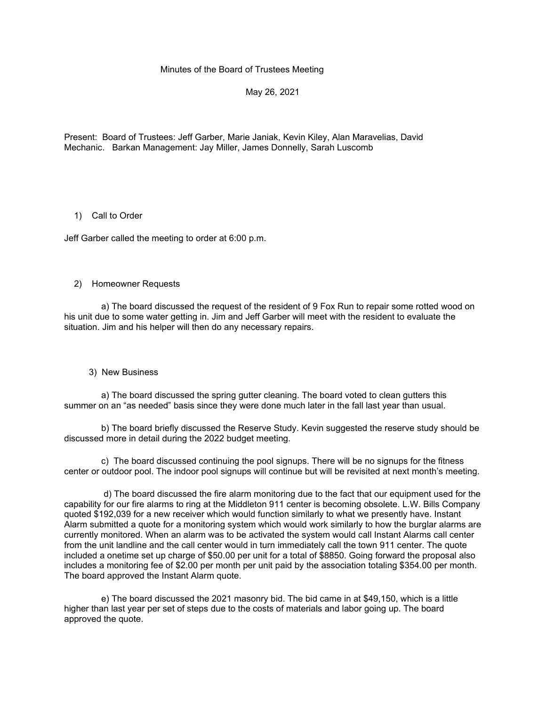# Minutes of the Board of Trustees Meeting

May 26, 2021

Present: Board of Trustees: Jeff Garber, Marie Janiak, Kevin Kiley, Alan Maravelias, David Mechanic. Barkan Management: Jay Miller, James Donnelly, Sarah Luscomb

# 1) Call to Order

Jeff Garber called the meeting to order at 6:00 p.m.

### 2) Homeowner Requests

 a) The board discussed the request of the resident of 9 Fox Run to repair some rotted wood on his unit due to some water getting in. Jim and Jeff Garber will meet with the resident to evaluate the situation. Jim and his helper will then do any necessary repairs.

3) New Business

 a) The board discussed the spring gutter cleaning. The board voted to clean gutters this summer on an "as needed" basis since they were done much later in the fall last year than usual.

 b) The board briefly discussed the Reserve Study. Kevin suggested the reserve study should be discussed more in detail during the 2022 budget meeting.

 c) The board discussed continuing the pool signups. There will be no signups for the fitness center or outdoor pool. The indoor pool signups will continue but will be revisited at next month's meeting.

 d) The board discussed the fire alarm monitoring due to the fact that our equipment used for the capability for our fire alarms to ring at the Middleton 911 center is becoming obsolete. L.W. Bills Company quoted \$192,039 for a new receiver which would function similarly to what we presently have. Instant Alarm submitted a quote for a monitoring system which would work similarly to how the burglar alarms are currently monitored. When an alarm was to be activated the system would call Instant Alarms call center from the unit landline and the call center would in turn immediately call the town 911 center. The quote included a onetime set up charge of \$50.00 per unit for a total of \$8850. Going forward the proposal also includes a monitoring fee of \$2.00 per month per unit paid by the association totaling \$354.00 per month. The board approved the Instant Alarm quote.

 e) The board discussed the 2021 masonry bid. The bid came in at \$49,150, which is a little higher than last year per set of steps due to the costs of materials and labor going up. The board approved the quote.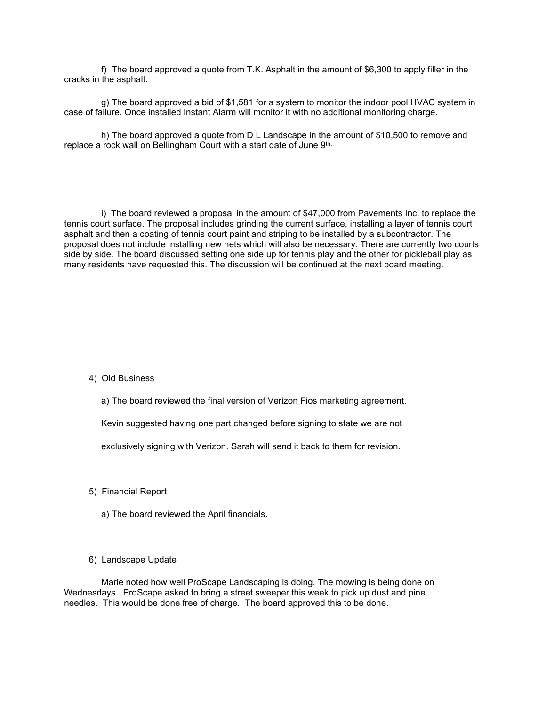f) The board approved a quote from T.K. Asphalt in the amount of \$6,300 to apply filler in the cracks in the asphalt.

 g) The board approved a bid of \$1,581 for a system to monitor the indoor pool HVAC system in case of failure. Once installed Instant Alarm will monitor it with no additional monitoring charge.

 h) The board approved a quote from D L Landscape in the amount of \$10,500 to remove and replace a rock wall on Bellingham Court with a start date of June 9th.

 i) The board reviewed a proposal in the amount of \$47,000 from Pavements Inc. to replace the tennis court surface. The proposal includes grinding the current surface, installing a layer of tennis court asphalt and then a coating of tennis court paint and striping to be installed by a subcontractor. The proposal does not include installing new nets which will also be necessary. There are currently two courts side by side. The board discussed setting one side up for tennis play and the other for pickleball play as many residents have requested this. The discussion will be continued at the next board meeting.

### 4) Old Business

a) The board reviewed the final version of Verizon Fios marketing agreement.

Kevin suggested having one part changed before signing to state we are not

exclusively signing with Verizon. Sarah will send it back to them for revision.

- 5) Financial Report
	- a) The board reviewed the April financials.
- 6) Landscape Update

 Marie noted how well ProScape Landscaping is doing. The mowing is being done on Wednesdays. ProScape asked to bring a street sweeper this week to pick up dust and pine needles. This would be done free of charge. The board approved this to be done.